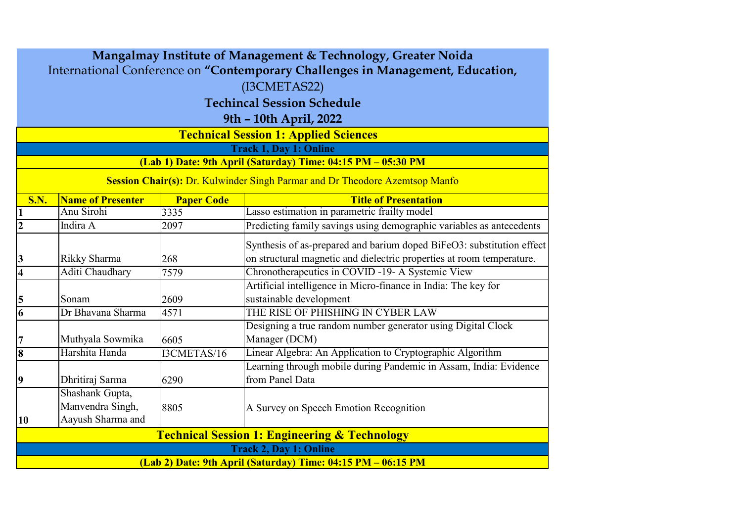| Mangalmay Institute of Management & Technology, Greater Noida                  |                                   |                   |                                                                             |  |
|--------------------------------------------------------------------------------|-----------------------------------|-------------------|-----------------------------------------------------------------------------|--|
| International Conference on "Contemporary Challenges in Management, Education, |                                   |                   |                                                                             |  |
| (I3CMETAS22)                                                                   |                                   |                   |                                                                             |  |
|                                                                                | <b>Techincal Session Schedule</b> |                   |                                                                             |  |
|                                                                                |                                   |                   |                                                                             |  |
| 9th - 10th April, 2022<br><b>Technical Session 1: Applied Sciences</b>         |                                   |                   |                                                                             |  |
|                                                                                |                                   |                   | <b>Track 1, Day 1: Online</b>                                               |  |
|                                                                                |                                   |                   | (Lab 1) Date: 9th April (Saturday) Time: 04:15 PM - 05:30 PM                |  |
|                                                                                |                                   |                   |                                                                             |  |
|                                                                                |                                   |                   | Session Chair(s): Dr. Kulwinder Singh Parmar and Dr Theodore Azemtsop Manfo |  |
| <b>S.N.</b>                                                                    | <b>Name of Presenter</b>          | <b>Paper Code</b> | <b>Title of Presentation</b>                                                |  |
| $\mathbf{1}$                                                                   | Anu Sirohi                        | 3335              | Lasso estimation in parametric frailty model                                |  |
| $\overline{2}$                                                                 | Indira A                          | 2097              | Predicting family savings using demographic variables as antecedents        |  |
|                                                                                |                                   |                   | Synthesis of as-prepared and barium doped BiFeO3: substitution effect       |  |
| 3                                                                              | Rikky Sharma                      | 268               | on structural magnetic and dielectric properties at room temperature.       |  |
| $\overline{\mathbf{4}}$                                                        | Aditi Chaudhary                   | 7579              | Chronotherapeutics in COVID -19- A Systemic View                            |  |
|                                                                                |                                   |                   | Artificial intelligence in Micro-finance in India: The key for              |  |
| 5                                                                              | Sonam                             | 2609              | sustainable development                                                     |  |
| 6                                                                              | Dr Bhavana Sharma                 | 4571              | THE RISE OF PHISHING IN CYBER LAW                                           |  |
|                                                                                |                                   |                   | Designing a true random number generator using Digital Clock                |  |
| $\overline{7}$                                                                 | Muthyala Sowmika                  | 6605              | Manager (DCM)                                                               |  |
| $\overline{\bf 8}$                                                             | Harshita Handa                    | I3CMETAS/16       | Linear Algebra: An Application to Cryptographic Algorithm                   |  |
|                                                                                |                                   |                   | Learning through mobile during Pandemic in Assam, India: Evidence           |  |
| 9                                                                              | Dhritiraj Sarma                   | 6290              | from Panel Data                                                             |  |
|                                                                                | Shashank Gupta,                   |                   |                                                                             |  |
|                                                                                | Manvendra Singh,                  | 8805              | A Survey on Speech Emotion Recognition                                      |  |
| 10                                                                             | Aayush Sharma and                 |                   |                                                                             |  |
|                                                                                |                                   |                   | <b>Technical Session 1: Engineering &amp; Technology</b>                    |  |
| <b>Track 2, Day 1: Online</b>                                                  |                                   |                   |                                                                             |  |
| (Lab 2) Date: 9th April (Saturday) Time: 04:15 PM - 06:15 PM                   |                                   |                   |                                                                             |  |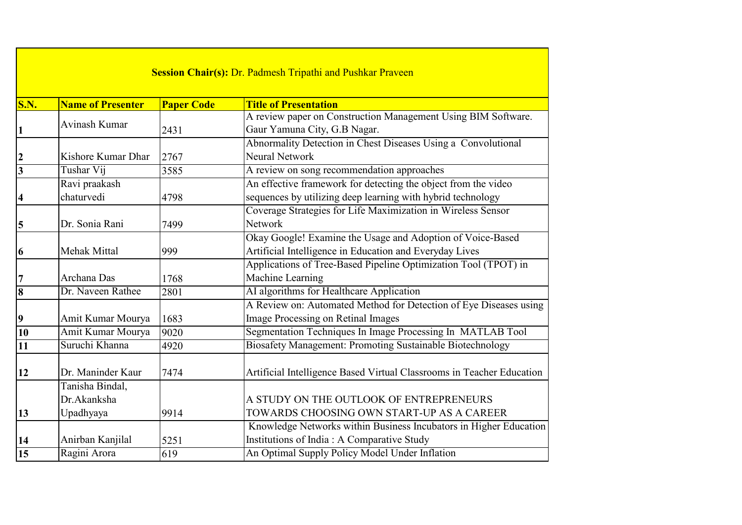| <b>Session Chair(s): Dr. Padmesh Tripathi and Pushkar Praveen</b> |                          |                   |                                                                       |
|-------------------------------------------------------------------|--------------------------|-------------------|-----------------------------------------------------------------------|
| <b>S.N.</b>                                                       | <b>Name of Presenter</b> | <b>Paper Code</b> | <b>Title of Presentation</b>                                          |
|                                                                   | Avinash Kumar            |                   | A review paper on Construction Management Using BIM Software.         |
|                                                                   |                          | 2431              | Gaur Yamuna City, G.B Nagar.                                          |
|                                                                   |                          |                   | Abnormality Detection in Chest Diseases Using a Convolutional         |
| $\boldsymbol{2}$                                                  | Kishore Kumar Dhar       | 2767              | <b>Neural Network</b>                                                 |
| $\overline{\mathbf{3}}$                                           | Tushar Vij               | 3585              | A review on song recommendation approaches                            |
|                                                                   | Ravi praakash            |                   | An effective framework for detecting the object from the video        |
| 4                                                                 | chaturvedi               | 4798              | sequences by utilizing deep learning with hybrid technology           |
|                                                                   |                          |                   | Coverage Strategies for Life Maximization in Wireless Sensor          |
| 5                                                                 | Dr. Sonia Rani           | 7499              | <b>Network</b>                                                        |
|                                                                   |                          |                   | Okay Google! Examine the Usage and Adoption of Voice-Based            |
| 6                                                                 | Mehak Mittal             | 999               | Artificial Intelligence in Education and Everyday Lives               |
|                                                                   |                          |                   | Applications of Tree-Based Pipeline Optimization Tool (TPOT) in       |
| 7                                                                 | Archana Das              | 1768              | Machine Learning                                                      |
| $\overline{\mathbf{8}}$                                           | Dr. Naveen Rathee        | 2801              | AI algorithms for Healthcare Application                              |
|                                                                   |                          |                   | A Review on: Automated Method for Detection of Eye Diseases using     |
| 9                                                                 | Amit Kumar Mourya        | 1683              | Image Processing on Retinal Images                                    |
| $\overline{10}$                                                   | Amit Kumar Mourya        | 9020              | Segmentation Techniques In Image Processing In MATLAB Tool            |
| 11                                                                | Suruchi Khanna           | 4920              | Biosafety Management: Promoting Sustainable Biotechnology             |
|                                                                   |                          |                   |                                                                       |
| 12                                                                | Dr. Maninder Kaur        | 7474              | Artificial Intelligence Based Virtual Classrooms in Teacher Education |
|                                                                   | Tanisha Bindal,          |                   |                                                                       |
|                                                                   | Dr.Akanksha              |                   | A STUDY ON THE OUTLOOK OF ENTREPRENEURS                               |
| 13                                                                | Upadhyaya                | 9914              | TOWARDS CHOOSING OWN START-UP AS A CAREER                             |
|                                                                   |                          |                   | Knowledge Networks within Business Incubators in Higher Education     |
| 14                                                                | Anirban Kanjilal         | 5251              | Institutions of India: A Comparative Study                            |
| $\overline{15}$                                                   | Ragini Arora             | 619               | An Optimal Supply Policy Model Under Inflation                        |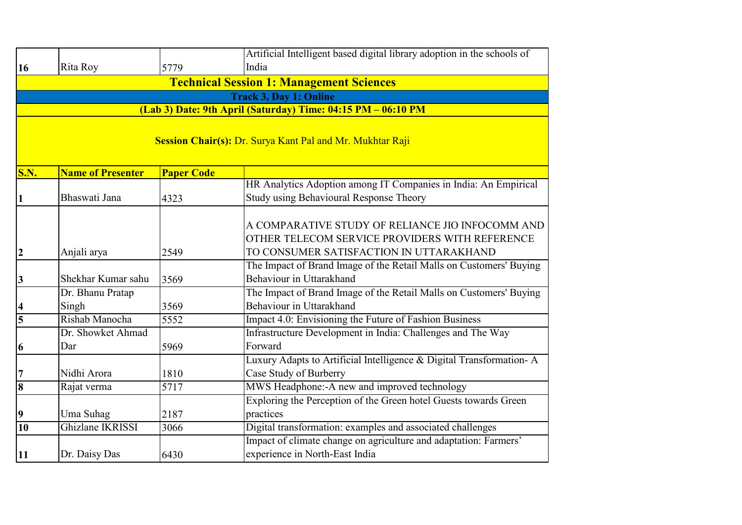|                         |                                                                                               |                   | Artificial Intelligent based digital library adoption in the schools of                                                                       |  |  |
|-------------------------|-----------------------------------------------------------------------------------------------|-------------------|-----------------------------------------------------------------------------------------------------------------------------------------------|--|--|
| 16                      | Rita Roy                                                                                      | 5779              | India                                                                                                                                         |  |  |
|                         | <b>Technical Session 1: Management Sciences</b>                                               |                   |                                                                                                                                               |  |  |
|                         | <b>Track 3, Day 1: Online</b><br>(Lab 3) Date: 9th April (Saturday) Time: 04:15 PM - 06:10 PM |                   |                                                                                                                                               |  |  |
|                         |                                                                                               |                   |                                                                                                                                               |  |  |
|                         | Session Chair(s): Dr. Surya Kant Pal and Mr. Mukhtar Raji                                     |                   |                                                                                                                                               |  |  |
| <b>S.N.</b>             | <b>Name of Presenter</b>                                                                      | <b>Paper Code</b> |                                                                                                                                               |  |  |
|                         |                                                                                               |                   | HR Analytics Adoption among IT Companies in India: An Empirical                                                                               |  |  |
| 1                       | Bhaswati Jana                                                                                 | 4323              | Study using Behavioural Response Theory                                                                                                       |  |  |
| $\overline{2}$          | Anjali arya                                                                                   | 2549              | A COMPARATIVE STUDY OF RELIANCE JIO INFOCOMM AND<br>OTHER TELECOM SERVICE PROVIDERS WITH REFERENCE<br>TO CONSUMER SATISFACTION IN UTTARAKHAND |  |  |
| 3                       | Shekhar Kumar sahu                                                                            | 3569              | The Impact of Brand Image of the Retail Malls on Customers' Buying<br>Behaviour in Uttarakhand                                                |  |  |
| 4                       | Dr. Bhanu Pratap<br>Singh                                                                     | 3569              | The Impact of Brand Image of the Retail Malls on Customers' Buying<br>Behaviour in Uttarakhand                                                |  |  |
| $\overline{\mathbf{5}}$ | Rishab Manocha                                                                                | 5552              | Impact 4.0: Envisioning the Future of Fashion Business                                                                                        |  |  |
| 6                       | Dr. Showket Ahmad<br>Dar                                                                      | 5969              | Infrastructure Development in India: Challenges and The Way<br>Forward                                                                        |  |  |
| 7                       | Nidhi Arora                                                                                   | 1810              | Luxury Adapts to Artificial Intelligence & Digital Transformation-A<br>Case Study of Burberry                                                 |  |  |
| 8                       | Rajat verma                                                                                   | 5717              | MWS Headphone:-A new and improved technology                                                                                                  |  |  |
| 9                       | Uma Suhag                                                                                     | 2187              | Exploring the Perception of the Green hotel Guests towards Green<br>practices                                                                 |  |  |
| $\overline{10}$         | Ghizlane IKRISSI                                                                              | 3066              | Digital transformation: examples and associated challenges                                                                                    |  |  |
| 11                      | Dr. Daisy Das                                                                                 | 6430              | Impact of climate change on agriculture and adaptation: Farmers'<br>experience in North-East India                                            |  |  |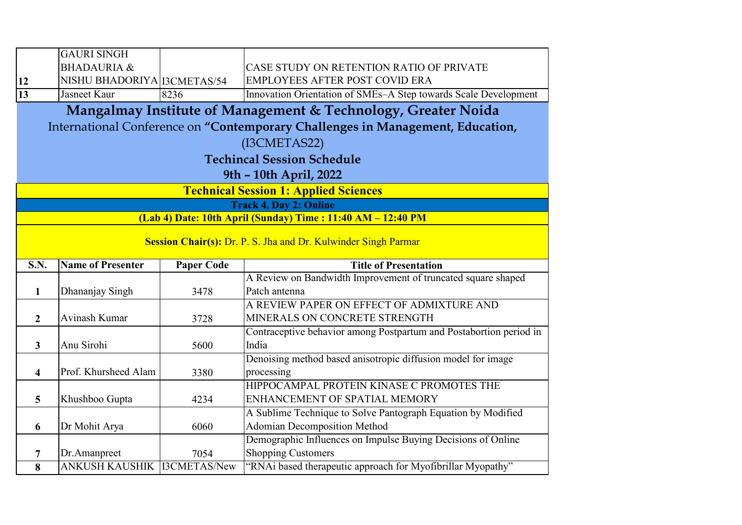|                         | <b>GAURI SINGH</b>                                             |                   |                                                                                          |  |
|-------------------------|----------------------------------------------------------------|-------------------|------------------------------------------------------------------------------------------|--|
|                         | <b>BHADAURIA &amp;</b>                                         |                   | CASE STUDY ON RETENTION RATIO OF PRIVATE                                                 |  |
| 12                      | NISHU BHADORIYA   I3CMETAS/54                                  |                   | <b>EMPLOYEES AFTER POST COVID ERA</b>                                                    |  |
| 13                      | Jasneet Kaur                                                   | 8236              | Innovation Orientation of SMEs-A Step towards Scale Development                          |  |
|                         |                                                                |                   | Mangalmay Institute of Management & Technology, Greater Noida                            |  |
|                         |                                                                |                   | International Conference on "Contemporary Challenges in Management, Education,           |  |
|                         |                                                                |                   |                                                                                          |  |
|                         | (I3CMETAS22)                                                   |                   |                                                                                          |  |
|                         |                                                                |                   | <b>Techincal Session Schedule</b>                                                        |  |
|                         |                                                                |                   | 9th - 10th April, 2022                                                                   |  |
|                         |                                                                |                   | <b>Technical Session 1: Applied Sciences</b>                                             |  |
|                         |                                                                |                   | <b>Track 4, Day 2: Online</b>                                                            |  |
|                         |                                                                |                   | (Lab 4) Date: 10th April (Sunday) Time: 11:40 AM - 12:40 PM                              |  |
|                         | Session Chair(s): Dr. P. S. Jha and Dr. Kulwinder Singh Parmar |                   |                                                                                          |  |
|                         |                                                                |                   |                                                                                          |  |
|                         |                                                                |                   |                                                                                          |  |
| <b>S.N.</b>             | <b>Name of Presenter</b>                                       | <b>Paper Code</b> | <b>Title of Presentation</b>                                                             |  |
|                         |                                                                |                   | A Review on Bandwidth Improvement of truncated square shaped                             |  |
| 1                       | Dhananjay Singh                                                | 3478              | Patch antenna                                                                            |  |
|                         |                                                                |                   | A REVIEW PAPER ON EFFECT OF ADMIXTURE AND                                                |  |
| $\overline{2}$          | Avinash Kumar                                                  | 3728              | MINERALS ON CONCRETE STRENGTH                                                            |  |
|                         |                                                                |                   | Contraceptive behavior among Postpartum and Postabortion period in                       |  |
| $\mathbf{3}$            | Anu Sirohi                                                     | 5600              | India                                                                                    |  |
|                         |                                                                |                   | Denoising method based anisotropic diffusion model for image                             |  |
| $\overline{\mathbf{4}}$ | Prof. Khursheed Alam                                           | 3380              | processing                                                                               |  |
|                         |                                                                |                   | HIPPOCAMPAL PROTEIN KINASE C PROMOTES THE                                                |  |
| $\overline{5}$          | Khushboo Gupta                                                 | 4234              | ENHANCEMENT OF SPATIAL MEMORY                                                            |  |
|                         |                                                                |                   | A Sublime Technique to Solve Pantograph Equation by Modified                             |  |
| 6                       | Dr Mohit Arya                                                  | 6060              | <b>Adomian Decomposition Method</b>                                                      |  |
|                         |                                                                |                   | Demographic Influences on Impulse Buying Decisions of Online                             |  |
| 7<br>8                  | Dr.Amanpreet<br><b>ANKUSH KAUSHIK I3CMETAS/New</b>             | 7054              | <b>Shopping Customers</b><br>"RNAi based therapeutic approach for Myofibrillar Myopathy" |  |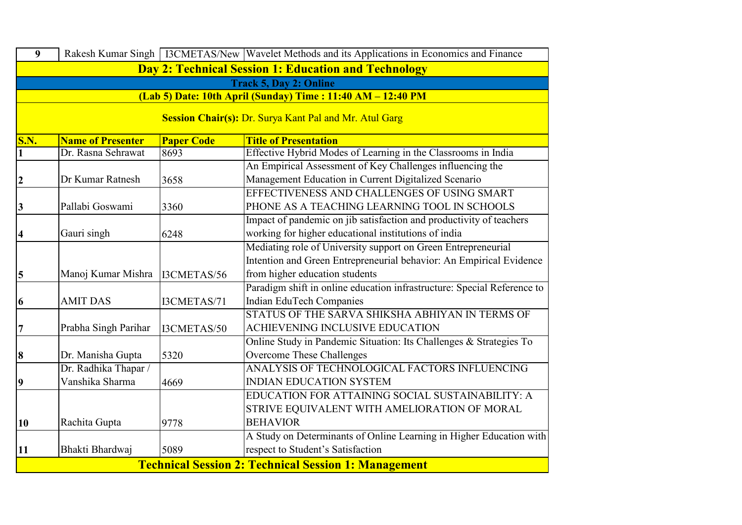| $\overline{9}$                                                |                          |                   | Rakesh Kumar Singh   I3CMETAS/New   Wavelet Methods and its Applications in Economics and Finance |
|---------------------------------------------------------------|--------------------------|-------------------|---------------------------------------------------------------------------------------------------|
| Day 2: Technical Session 1: Education and Technology          |                          |                   |                                                                                                   |
|                                                               |                          |                   | <b>Track 5, Day 2: Online</b>                                                                     |
|                                                               |                          |                   | (Lab 5) Date: 10th April (Sunday) Time: 11:40 AM - 12:40 PM                                       |
| <b>Session Chair(s): Dr. Surya Kant Pal and Mr. Atul Garg</b> |                          |                   |                                                                                                   |
| <b>S.N.</b>                                                   | <b>Name of Presenter</b> | <b>Paper Code</b> | <b>Title of Presentation</b>                                                                      |
| $\mathbf{1}$                                                  | Dr. Rasna Sehrawat       | 8693              | Effective Hybrid Modes of Learning in the Classrooms in India                                     |
|                                                               |                          |                   | An Empirical Assessment of Key Challenges influencing the                                         |
| $\overline{2}$                                                | Dr Kumar Ratnesh         | 3658              | Management Education in Current Digitalized Scenario                                              |
|                                                               |                          |                   | EFFECTIVENESS AND CHALLENGES OF USING SMART                                                       |
| 3                                                             | Pallabi Goswami          | 3360              | PHONE AS A TEACHING LEARNING TOOL IN SCHOOLS                                                      |
|                                                               |                          |                   | Impact of pandemic on jib satisfaction and productivity of teachers                               |
| $\overline{\mathbf{4}}$                                       | Gauri singh              | 6248              | working for higher educational institutions of india                                              |
|                                                               |                          |                   | Mediating role of University support on Green Entrepreneurial                                     |
|                                                               |                          |                   | Intention and Green Entrepreneurial behavior: An Empirical Evidence                               |
| 5                                                             | Manoj Kumar Mishra       | I3CMETAS/56       | from higher education students                                                                    |
|                                                               |                          |                   | Paradigm shift in online education infrastructure: Special Reference to                           |
| 6                                                             | <b>AMIT DAS</b>          | I3CMETAS/71       | Indian EduTech Companies                                                                          |
|                                                               |                          |                   | STATUS OF THE SARVA SHIKSHA ABHIYAN IN TERMS OF                                                   |
| $\overline{7}$                                                | Prabha Singh Parihar     | I3CMETAS/50       | ACHIEVENING INCLUSIVE EDUCATION                                                                   |
|                                                               |                          |                   | Online Study in Pandemic Situation: Its Challenges & Strategies To                                |
| 8                                                             | Dr. Manisha Gupta        | 5320              | Overcome These Challenges                                                                         |
|                                                               | Dr. Radhika Thapar /     |                   | ANALYSIS OF TECHNOLOGICAL FACTORS INFLUENCING                                                     |
| 9                                                             | Vanshika Sharma          | 4669              | <b>INDIAN EDUCATION SYSTEM</b>                                                                    |
|                                                               |                          |                   | EDUCATION FOR ATTAINING SOCIAL SUSTAINABILITY: A                                                  |
|                                                               |                          |                   | STRIVE EQUIVALENT WITH AMELIORATION OF MORAL                                                      |
| 10                                                            | Rachita Gupta            | 9778              | <b>BEHAVIOR</b>                                                                                   |
|                                                               |                          |                   | A Study on Determinants of Online Learning in Higher Education with                               |
| <b>11</b>                                                     | Bhakti Bhardwaj          | 5089              | respect to Student's Satisfaction                                                                 |
| <b>Technical Session 2: Technical Session 1: Management</b>   |                          |                   |                                                                                                   |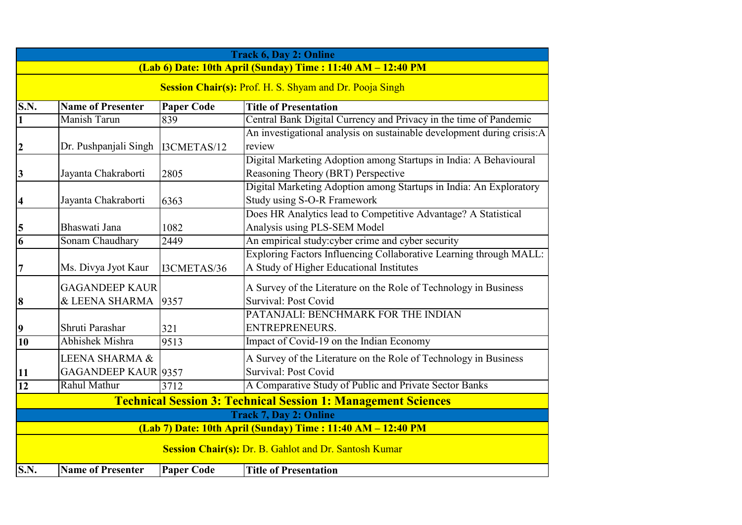| <b>Track 6, Day 2: Online</b>                                        |                                                                |                   |                                                                        |  |
|----------------------------------------------------------------------|----------------------------------------------------------------|-------------------|------------------------------------------------------------------------|--|
| (Lab 6) Date: 10th April (Sunday) Time: 11:40 AM - 12:40 PM          |                                                                |                   |                                                                        |  |
|                                                                      | <b>Session Chair(s): Prof. H. S. Shyam and Dr. Pooja Singh</b> |                   |                                                                        |  |
| S.N.                                                                 | <b>Name of Presenter</b>                                       | <b>Paper Code</b> | <b>Title of Presentation</b>                                           |  |
| $\overline{\mathbf{1}}$                                              | Manish Tarun                                                   | 839               | Central Bank Digital Currency and Privacy in the time of Pandemic      |  |
|                                                                      |                                                                |                   | An investigational analysis on sustainable development during crisis:A |  |
| $\overline{2}$                                                       | Dr. Pushpanjali Singh                                          | I3CMETAS/12       | review                                                                 |  |
|                                                                      |                                                                |                   | Digital Marketing Adoption among Startups in India: A Behavioural      |  |
| $\vert 3 \vert$                                                      | Jayanta Chakraborti                                            | 2805              | Reasoning Theory (BRT) Perspective                                     |  |
|                                                                      |                                                                |                   | Digital Marketing Adoption among Startups in India: An Exploratory     |  |
| $\vert 4 \vert$                                                      | Jayanta Chakraborti                                            | 6363              | Study using S-O-R Framework                                            |  |
|                                                                      |                                                                |                   | Does HR Analytics lead to Competitive Advantage? A Statistical         |  |
| $\frac{5}{6}$                                                        | Bhaswati Jana                                                  | 1082              | Analysis using PLS-SEM Model                                           |  |
|                                                                      | Sonam Chaudhary                                                | 2449              | An empirical study:cyber crime and cyber security                      |  |
|                                                                      |                                                                |                   | Exploring Factors Influencing Collaborative Learning through MALL:     |  |
| 17                                                                   | Ms. Divya Jyot Kaur                                            | I3CMETAS/36       | A Study of Higher Educational Institutes                               |  |
|                                                                      | <b>GAGANDEEP KAUR</b>                                          |                   | A Survey of the Literature on the Role of Technology in Business       |  |
| 8                                                                    | & LEENA SHARMA                                                 | 9357              | Survival: Post Covid                                                   |  |
|                                                                      |                                                                |                   | PATANJALI: BENCHMARK FOR THE INDIAN                                    |  |
| $\overline{\mathbf{9}}$                                              | Shruti Parashar                                                | 321               | ENTREPRENEURS.                                                         |  |
| 10                                                                   | <b>Abhishek Mishra</b>                                         | 9513              | Impact of Covid-19 on the Indian Economy                               |  |
|                                                                      | LEENA SHARMA &                                                 |                   | A Survey of the Literature on the Role of Technology in Business       |  |
|                                                                      | <b>GAGANDEEP KAUR 9357</b>                                     |                   | Survival: Post Covid                                                   |  |
| $\frac{11}{12}$                                                      | Rahul Mathur                                                   | 3712              | A Comparative Study of Public and Private Sector Banks                 |  |
| <b>Technical Session 3: Technical Session 1: Management Sciences</b> |                                                                |                   |                                                                        |  |
| <b>Track 7, Day 2: Online</b>                                        |                                                                |                   |                                                                        |  |
| (Lab 7) Date: 10th April (Sunday) Time: 11:40 AM - 12:40 PM          |                                                                |                   |                                                                        |  |
| Session Chair(s): Dr. B. Gahlot and Dr. Santosh Kumar                |                                                                |                   |                                                                        |  |
|                                                                      |                                                                |                   |                                                                        |  |
| S.N.                                                                 | <b>Name of Presenter</b>                                       | <b>Paper Code</b> | <b>Title of Presentation</b>                                           |  |